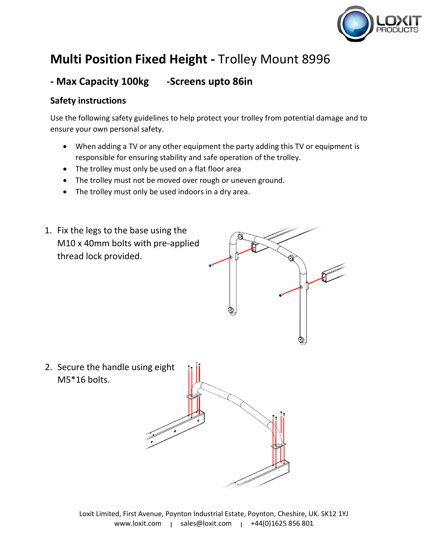

## **Multi Position Fixed Height -** Trolley Mount 8996

## **- Max Capacity 100kg -Screens upto 86in**

## **Safety instructions**

Use the following safety guidelines to help protect your trolley from potential damage and to ensure your own personal safety.

- When adding a TV or any other equipment the party adding this TV or equipment is responsible for ensuring stability and safe operation of the trolley.
- The trolley must only be used on a flat floor area
- The trolley must not be moved over rough or uneven ground.
- The trolley must only be used indoors in a dry area.

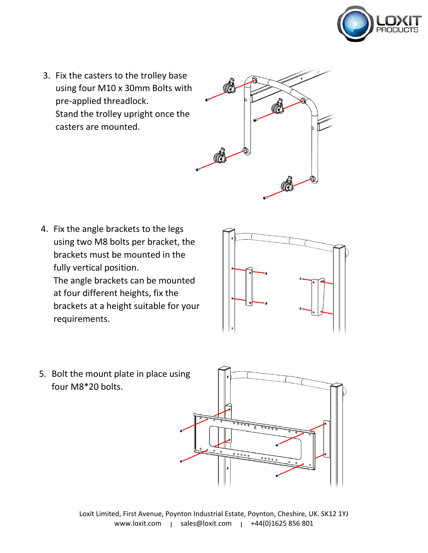

3. Fix the casters to the trolley base using four M10 x 30mm Bolts with pre-applied threadlock. Stand the trolley upright once the casters are mounted.



4. Fix the angle brackets to the legs using two M8 bolts per bracket, the brackets must be mounted in the fully vertical position. The angle brackets can be mounted at four different heights, fix the brackets at a height suitable for your requirements.



5. Bolt the mount plate in place using four M8\*20 bolts.